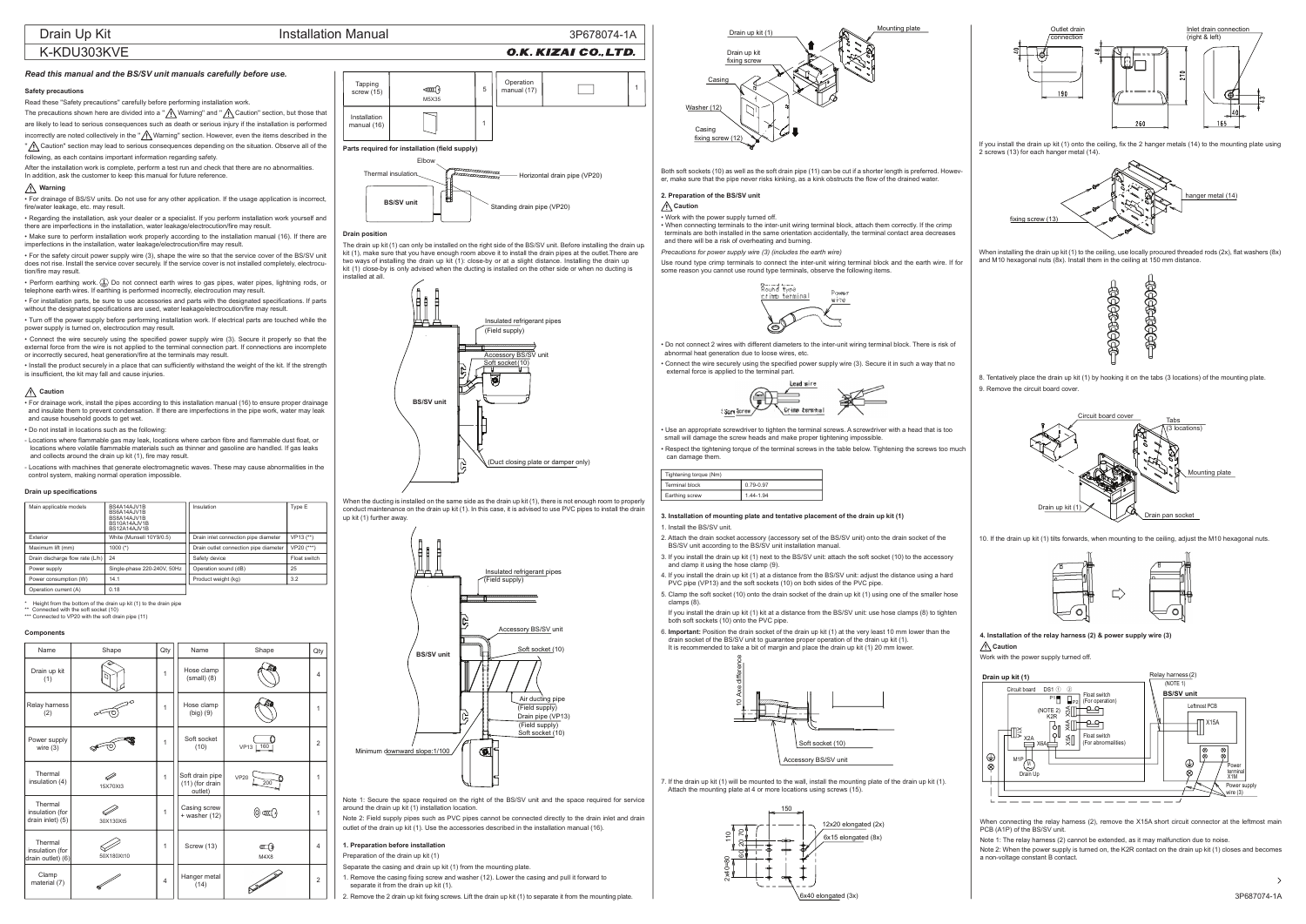# K-KDU303KVE

3P678074-1A

# *Read this manual and the BS/SV unit manuals carefully before use.*

# **Safety precautions**

Read these ''Safety precautions'' carefully before performing installation work.

The precautions shown here are divided into a " $\bigwedge$  Warning" and " $\bigwedge$  Caution" section, but those that are likely to lead to serious consequences such as death or serious injury if the installation is performed incorrectly are noted collectively in the " $\bigwedge$  Warning" section. However, even the items described in the

'' Caution'' section may lead to serious consequences depending on the situation. Observe all of the following, as each contains important information regarding safety.

After the installation work is complete, perform a test run and check that there are no abnormalities. In addition, ask the customer to keep this manual for future reference.

### **Warning**

• Perform earthing work. $(\underline{\downarrow})$  Do not connect earth wires to gas pipes, water pipes, lightning rods, or telephone earth wires. If earthing is performed incorrectly, electrocution may result.

• For drainage of BS/SV units. Do not use for any other application. If the usage application is incorrect, fire/water leakage, etc. may result.

• Regarding the installation, ask your dealer or <sup>a</sup> specialist. If you perform installation work yourself and there are imperfections in the installation, water leakage/electrocution/fire may result.

• Make sure to perform installation work properly according to the installation manual (16). If there are imperfections in the installation, water leakage/electrocution/fire may result.

• For the safety circuit power supply wire (3), shape the wire so that the service cover of the BS/SV unit does not rise. Install the service cover securely. If the service cover is not installed completely, electrocution/fire may result.

• For installation parts, be sure to use accessories and parts with the designated specifications. If parts without the designated specifications are used, water leakage/electrocution/fire may result.

• Turn off the power supply before performing installation work. If electrical parts are touched while the power supply is turned on, electrocution may result.

• Connect the wire securely using the specified power supply wire (3). Secure it properly so that the external force from the wire is not applied to the terminal connection part. If connections are incomplete or incorrectly secured, heat generation/fire at the terminals may result.

• Install the product securely in <sup>a</sup> place that can sufficiently withstand the weight of the kit. If the strength is insufficient, the kit may fall and cause injuries.

#### **Caution**

• For drainage work, install the pipes according to this installation manual (16) to ensure proper drainage and insulate them to prevent condensation. If there are imperfections in the pipe work, water may leak and cause household goods to get wet.

• Do not install in locations such as the following:

- Locations where flammable gas may leak, locations where carbon fibre and flammable dust float, or locations where volatile flammable materials such as thinner and gasoline are handled. If gas leaks and collects around the drain up kit (1), fire may result.

- Locations with machines that generate electromagnetic waves. These may cause abnormalities in the control system, making normal operation impossible.

> 6. **Important:** Position the drain socket of the drain up kit (1) at the very least 10 mm lower than the drain socket of the BS/SV unit to guarantee proper operation of the drain up kit (1). It is recommended to take a bit of margin and place the drain up kit (1) 20 mm lower.

\*\*Connected with the soft socket (10)

\*\*\* Connected to VP20 with the soft drain pipe (11)

#### **Drain up specifications**

| Main applicable models          | BS4A14AJV1B<br>BS6A14AJV1B<br>BS8A14AJV1B<br><b>BS10A14AJV1B</b><br>BS12A14AJV1B | Insulation                            | Type E         |
|---------------------------------|----------------------------------------------------------------------------------|---------------------------------------|----------------|
| Exterior                        | White (Munsell 10Y9/0.5)                                                         | Drain inlet connection pipe diameter  | $VP13$ $(**)$  |
| Maximum lift (mm)               | 1000 $(*)$                                                                       | Drain outlet connection pipe diameter | $VP20$ $(***)$ |
| Drain discharge flow rate (L/h) | 24                                                                               | Safety device                         | Float switch   |
| Power supply                    | Single-phase 220-240V, 50Hz                                                      | Operation sound (dB)                  | 25             |
| Power consumption (W)           | 14.1                                                                             | Product weight (kg)                   | 3.2            |
| Operation current (A)           | 0.18                                                                             |                                       |                |

When installing the drain up kit (1) to the ceiling, use locally procured threaded rods  $(2x)$ , flat washers  $(8x)$ and M10 hexagonal nuts (8x). Install them in the ceiling at 150 mm distance.

Height from the bottom of the drain up kit (1) to the drain pipe



**1. Preparation before installation**

Preparation of the drain up kit (1)

Minimum downward slope: 1/100

Separate the casing and drain up kit (1) from the mounting plate.

Note 2: Field supply pipes such as PVC pipes cannot be connected directly to the drain inlet and drain outlet of the drain up kit (1). Use the accessories described in the installation manual (16).

1. Remove the casing fixing screw and washer (12). Lower the casing and pull it forward to

separate it from the drain up kit (1).

2. Remove the 2 drain up kit fixing screws. Lift the drain up kit (1) to separate it from the mounting plate.

O.K. KIZAI CO., LTD.

Both soft sockets (10) as well as the soft drain pipe (11) can be cut if <sup>a</sup> shorter length is preferred. However, make sure that the pipe never risks kinking, as a kink obstructs the flow of the drained water.

### **2. Preparation of the BS/SV unit**

**Caution**

# • Work with the power supply turned off.

When connecting the relay harness (2), remove the X15A short circuit connector at the leftmost main PCB (A1P) of the BS/SV unit.

• When connecting terminals to the inter-unit wiring terminal block, attach them correctly. If the crimp terminals are both installed in the same orientation accidentally, the terminal contact area decreases and there will be a risk of overheating and burning.

*Precautions for power supply wire (3) (includes the earth wire)*

Use round type crimp terminals to connect the inter-unit wiring terminal block and the earth wire. If for some reason you cannot use round type terminals, observe the following items.

• Do not connect 2 wires with different diameters to the inter-unit wiring terminal block. There is risk of abnormal heat generation due to loose wires, etc.

• Connect the wire securely using the specified power supply wire (3). Secure it in such a way that no external force is applied to the terminal part.

• Use an appropriate screwdriver to tighten the terminal screws. A screwdriver with a head that is too small will damage the screw heads and make proper tightening impossible.

• Respect the tightening torque of the terminal screws in the table below. Tightening the screws too much

can damage them.

# Tightening to Terminal blockEarthing scre



**3. Installation of mounting plate and tentative placement of the drain up kit (1)** 1. Install the BS/SV unit.

2. Attach the drain socket accessory (accessory set of the BS/SV unit) onto the drain socket of the BS/SV unit according to the BS/SV unit installation manual.

3. If you install the drain up kit (1) next to the BS/SV unit: attach the soft socket (10) to the accessory and clamp it using the hose clamp (9).

4. If you install the drain up kit (1) at a distance from the BS/SV unit: adjust the distance using a hard PVC pipe (VP13) and the soft sockets (10) on both sides of the PVC pipe.

5. Clamp the soft socket (10) onto the drain socket of the drain up kit (1) using one of the smaller hose

- 
- 
- 
- 
- 
- 
- clamps (8).
- 

 If you install the drain up kit (1) kit at a distance from the BS/SV unit: use hose clamps (8) to tighten both soft sockets (10) onto the PVC pipe.

7. If the drain up kit (1) will be mounted to the wall, install the mounting plate of the drain up kit (1). Attach the mounting plate at 4 or more locations using screws (15).

If you install the drain up kit (1) onto the ceiling, fix the 2 hanger metals (14) to the mounting plate using 2 screws (13) for each hanger metal (14).

8. Tentatively place the drain up kit (1) by hooking it on the tabs (3 locations) of the mounting plate.

9. Remove the circuit board cover.

10. If the drain up kit (1) tilts forwards, when mounting to the ceiling, adjust the M10 hexagonal nuts.



#### **Components**

Note 1: Secure the space required on the right of the BS/SV unit and the space required for service around the drain up kit (1) installation location.

#### **Drain position**

The drain up kit (1) can only be installed on the right side of the BS/SV unit. Before installing the drain up kit (1), make sure that you have enough room above it to install the drain pipes at the outlet.There are two ways of installing the drain up kit (1): close-by or at <sup>a</sup> slight distance. Installing the drain up kit (1) close-by is only advised when the ducting is installed on the other side or when no ducting is installed at all.

| Name                                            | Shape      | Qty          | Name                                          | Shape                         | Qty          |
|-------------------------------------------------|------------|--------------|-----------------------------------------------|-------------------------------|--------------|
| Drain up kit<br>(1)                             |            | $\mathbf 1$  | Hose clamp<br>$(small)$ (8)                   |                               | 4            |
| Relay harness<br>(2)                            |            | 1            | Hose clamp<br>$(big)$ $(9)$                   |                               | 1            |
| Power supply<br>wire $(3)$                      |            | $\mathbf 1$  | Soft socket<br>(10)                           | VP13 160                      | 2            |
| Thermal<br>insulation (4)                       | 15X70Xt3   | 1            | Soft drain pipe<br>(11) (for drain<br>outlet) | VP20<br>200                   | $\mathbf{1}$ |
| Thermal<br>insulation (for<br>drain inlet) (5)  | 30X130Xt5  | $\mathbf{1}$ | Casing screw<br>$+$ washer (12)               | $\mathbb{C}$ and $\mathbb{C}$ | 1            |
| Thermal<br>insulation (for<br>drain outlet) (6) | 50X180Xt10 | 1            | Screw (13)                                    | M4X8                          | 4            |
| Clamp<br>material (7)                           |            | 4            | Hanger metal<br>(14)                          | <b>SANT</b>                   | 2            |





| que (Nm) |           |
|----------|-----------|
| k        | 0.79-0.97 |
| w        | 1.44-1.94 |

Note 1: The relay harness (2) cannot be extended, as it may malfunction due to noise.

Note 2: When the power supply is turned on, the K2R contact on the drain up kit (1) closes and becomes a non-voltage constant B contact.

**4. Installation of the relay harness (2) & power supply wire (3) Caution**

Work with the power supply turned off.





 $\rightarrow$ 

















Soft socket (10)